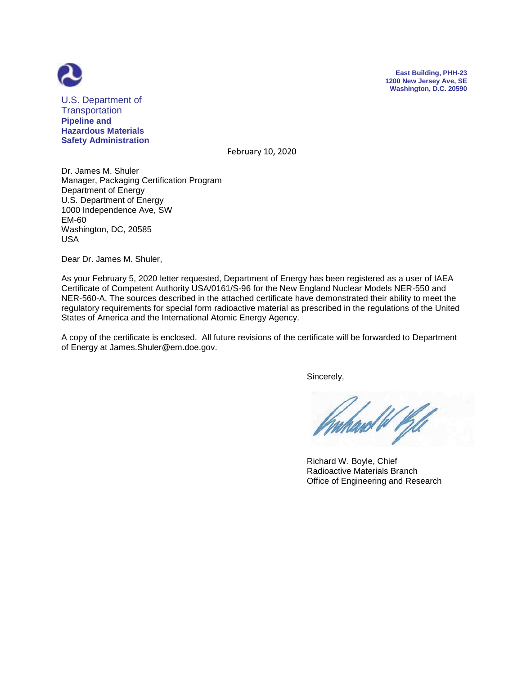



U.S. Department of **Transportation Pipeline and Hazardous Materials Safety Administration**

February 10, 2020

Dr. James M. Shuler Manager, Packaging Certification Program Department of Energy U.S. Department of Energy 1000 Independence Ave, SW EM-60 Washington, DC, 20585 USA

Dear Dr. James M. Shuler,

As your February 5, 2020 letter requested, Department of Energy has been registered as a user of IAEA Certificate of Competent Authority USA/0161/S-96 for the New England Nuclear Models NER-550 and NER-560-A. The sources described in the attached certificate have demonstrated their ability to meet the regulatory requirements for special form radioactive material as prescribed in the regulations of the United States of America and the International Atomic Energy Agency.

A copy of the certificate is enclosed. All future revisions of the certificate will be forwarded to Department of Energy at James.Shuler@em.doe.gov.

Sincerely,

ard W Pill

 Richard W. Boyle, Chief Radioactive Materials Branch Office of Engineering and Research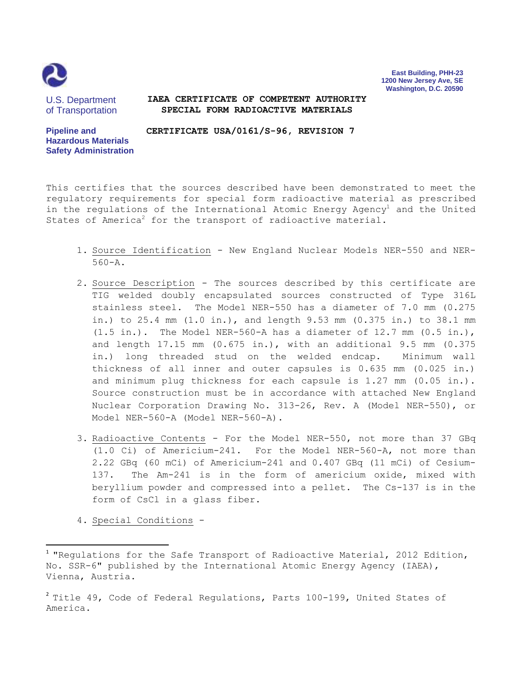

**East Building, PHH-23 1200 New Jersey Ave, SE Washington, D.C. 20590**

U.S. Department of Transportation

## **IAEA CERTIFICATE OF COMPETENT AUTHORITY SPECIAL FORM RADIOACTIVE MATERIALS**

**Pipeline and Hazardous Materials Safety Administration CERTIFICATE USA/0161/S-96, REVISION 7**

This certifies that the sources described have been demonstrated to meet the regulatory requirements for special form radioactive material as prescribed in the regulations of the International Atomic Energy Agency<sup>1</sup> and the United States of America<sup>2</sup> for the transport of radioactive material.

- 1. Source Identification New England Nuclear Models NER-550 and NER-560-A.
- 2. Source Description The sources described by this certificate are TIG welded doubly encapsulated sources constructed of Type 316L stainless steel. The Model NER-550 has a diameter of 7.0 mm (0.275 in.) to 25.4 mm (1.0 in.), and length 9.53 mm (0.375 in.) to 38.1 mm  $(1.5 \text{ in.})$ . The Model NER-560-A has a diameter of 12.7 mm  $(0.5 \text{ in.})$ , and length 17.15 mm (0.675 in.), with an additional 9.5 mm (0.375 in.) long threaded stud on the welded endcap. Minimum wall thickness of all inner and outer capsules is 0.635 mm (0.025 in.) and minimum plug thickness for each capsule is 1.27 mm (0.05 in.). Source construction must be in accordance with attached New England Nuclear Corporation Drawing No. 313-26, Rev. A (Model NER-550), or Model NER-560-A (Model NER-560-A).
- 3. Radioactive Contents For the Model NER-550, not more than 37 GBq (1.0 Ci) of Americium-241. For the Model NER-560-A, not more than 2.22 GBq (60 mCi) of Americium-241 and 0.407 GBq (11 mCi) of Cesium-137. The Am-241 is in the form of americium oxide, mixed with beryllium powder and compressed into a pellet. The Cs-137 is in the form of CsCl in a glass fiber.
- 4. Special Conditions -

 $\overline{\phantom{a}}$ 

<sup>&</sup>lt;sup>1</sup> "Regulations for the Safe Transport of Radioactive Material, 2012 Edition, No. SSR-6" published by the International Atomic Energy Agency (IAEA), Vienna, Austria.

 $^2$  Title 49, Code of Federal Regulations, Parts 100-199, United States of America.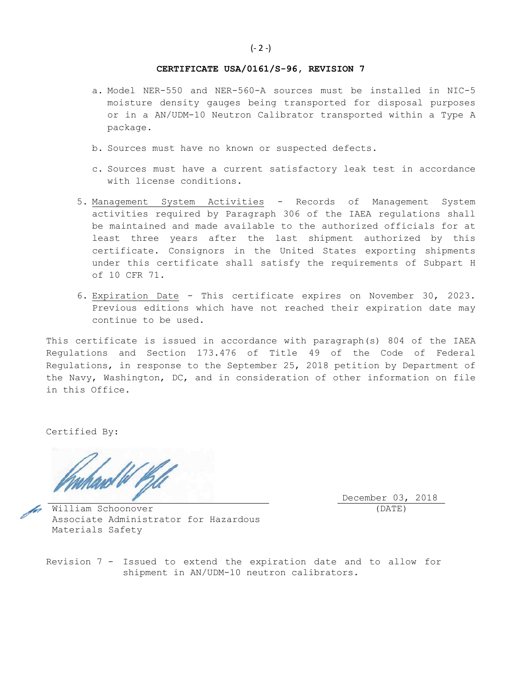## **CERTIFICATE USA/0161/S-96, REVISION 7**

- a. Model NER-550 and NER-560-A sources must be installed in NIC-5 moisture density gauges being transported for disposal purposes or in a AN/UDM-10 Neutron Calibrator transported within a Type A package.
- b. Sources must have no known or suspected defects.
- c. Sources must have a current satisfactory leak test in accordance with license conditions.
- 5. Management System Activities Records of Management System activities required by Paragraph 306 of the IAEA regulations shall be maintained and made available to the authorized officials for at least three years after the last shipment authorized by this certificate. Consignors in the United States exporting shipments under this certificate shall satisfy the requirements of Subpart H of 10 CFR 71.
- 6. Expiration Date This certificate expires on November 30, 2023. Previous editions which have not reached their expiration date may continue to be used.

This certificate is issued in accordance with paragraph(s) 804 of the IAEA Regulations and Section 173.476 of Title 49 of the Code of Federal Regulations, in response to the September 25, 2018 petition by Department of the Navy, Washington, DC, and in consideration of other information on file in this Office.

Certified By:

December 03, 2018 (DATE)

William Schoonover Associate Administrator for Hazardous Materials Safety

Revision 7 - Issued to extend the expiration date and to allow for shipment in AN/UDM-10 neutron calibrators.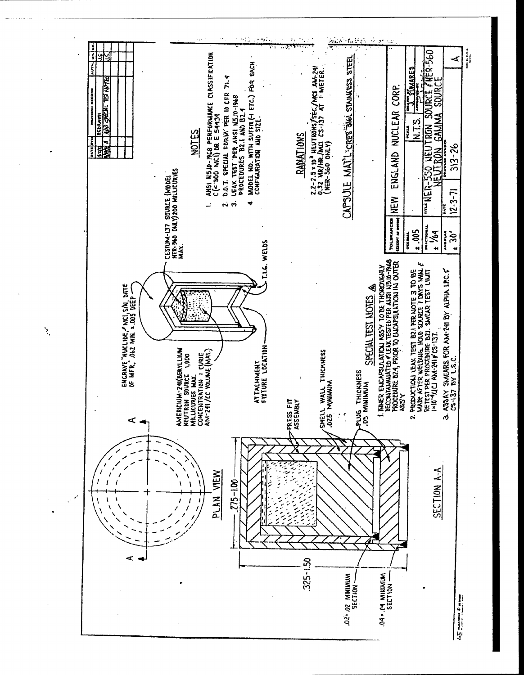

Ń,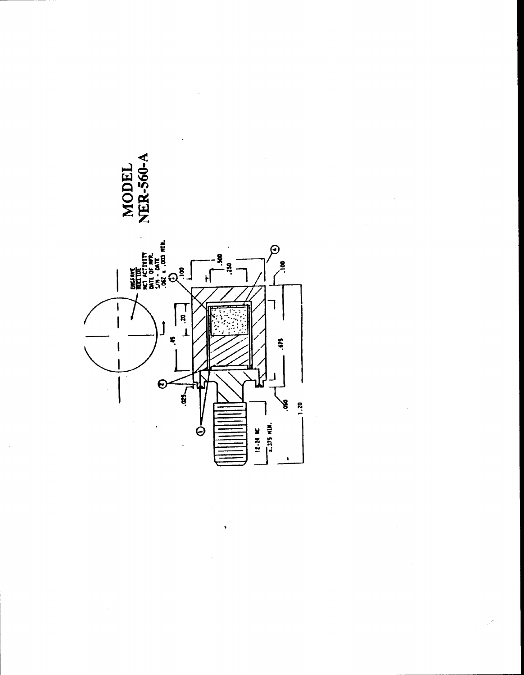